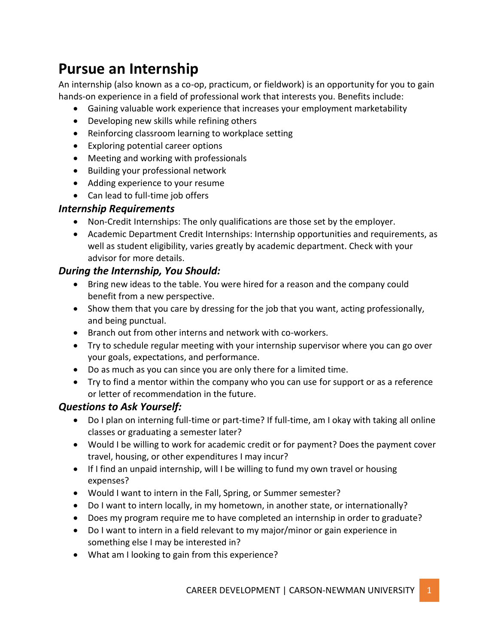#### **Pursue an Internship**

An internship (also known as a co-op, practicum, or fieldwork) is an opportunity for you to gain hands-on experience in a field of professional work that interests you. Benefits include:

- Gaining valuable work experience that increases your employment marketability
- Developing new skills while refining others
- Reinforcing classroom learning to workplace setting
- Exploring potential career options
- Meeting and working with professionals
- Building your professional network
- Adding experience to your resume
- Can lead to full-time job offers

#### *Internship Requirements*

- Non-Credit Internships: The only qualifications are those set by the employer.
- Academic Department Credit Internships: Internship opportunities and requirements, as well as student eligibility, varies greatly by academic department. Check with your advisor for more details.

#### *During the Internship, You Should:*

- Bring new ideas to the table. You were hired for a reason and the company could benefit from a new perspective.
- Show them that you care by dressing for the job that you want, acting professionally, and being punctual.
- Branch out from other interns and network with co-workers.
- Try to schedule regular meeting with your internship supervisor where you can go over your goals, expectations, and performance.
- Do as much as you can since you are only there for a limited time.
- Try to find a mentor within the company who you can use for support or as a reference or letter of recommendation in the future.

#### *Questions to Ask Yourself:*

- Do I plan on interning full-time or part-time? If full-time, am I okay with taking all online classes or graduating a semester later?
- Would I be willing to work for academic credit or for payment? Does the payment cover travel, housing, or other expenditures I may incur?
- If I find an unpaid internship, will I be willing to fund my own travel or housing expenses?
- Would I want to intern in the Fall, Spring, or Summer semester?
- Do I want to intern locally, in my hometown, in another state, or internationally?
- Does my program require me to have completed an internship in order to graduate?
- Do I want to intern in a field relevant to my major/minor or gain experience in something else I may be interested in?
- What am I looking to gain from this experience?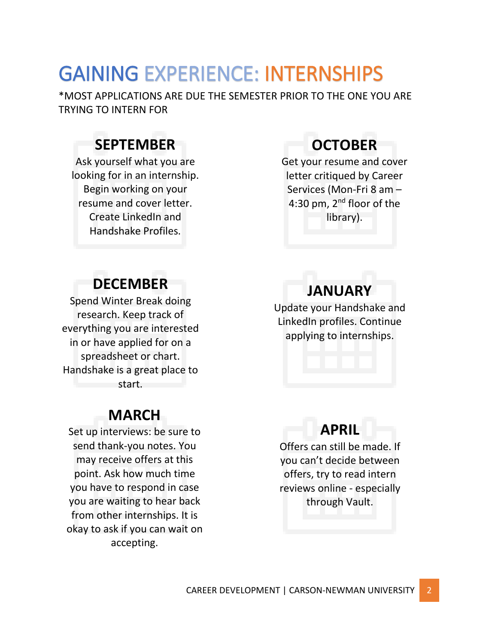## GAINING EXPERIENCE: INTERNSHIPS

\*MOST APPLICATIONS ARE DUE THE SEMESTER PRIOR TO THE ONE YOU ARE TRYING TO INTERN FOR

#### **SEPTEMBER**

Ask yourself what you are looking for in an internship. Begin working on your resume and cover letter. Create LinkedIn and Handshake Profiles.

### **DECEMBER**

Spend Winter Break doing research. Keep track of everything you are interested in or have applied for on a spreadsheet or chart. Handshake is a great place to start.

#### **MARCH**

Set up interviews: be sure to send thank-you notes. You may receive offers at this point. Ask how much time you have to respond in case you are waiting to hear back from other internships. It is okay to ask if you can wait on accepting.

### **OCTOBER**

Get your resume and cover letter critiqued by Career Services (Mon-Fri 8 am – 4:30 pm, 2<sup>nd</sup> floor of the library).

## **JANUARY**

Update your Handshake and LinkedIn profiles. Continue applying to internships.

#### **APRIL**

Offers can still be made. If you can't decide between offers, try to read intern reviews online - especially through Vault.